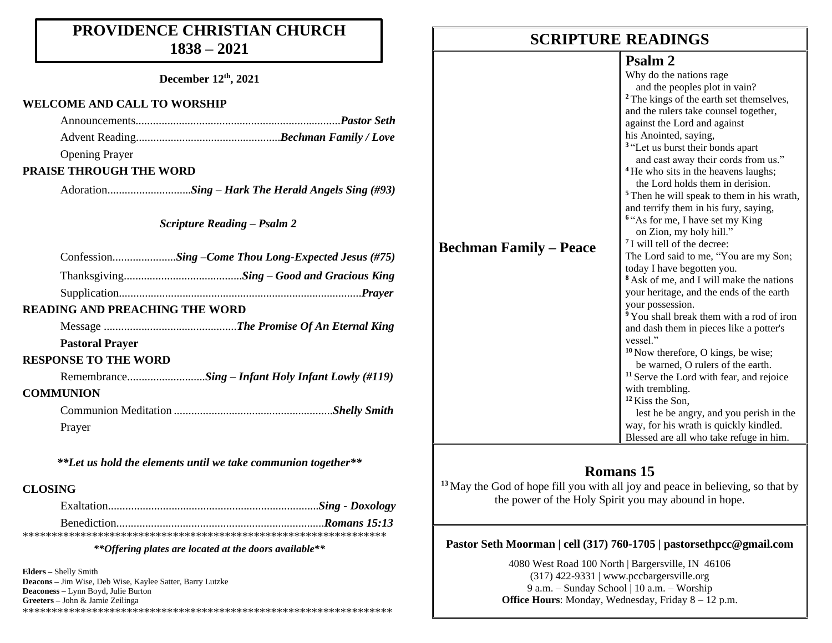## **PROVIDENCE CHRISTIAN CHURCH 1838 – 2021**

**December 12th, 2021**

#### **WELCOME AND CALL TO WORSHIP**

| <b>Opening Prayer</b>   |  |
|-------------------------|--|
| PRAISE THROUGH THE WORD |  |
|                         |  |
|                         |  |

*Scripture Reading – Psalm 2*

|                                       | ConfessionSing -Come Thou Long-Expected Jesus (#75) |
|---------------------------------------|-----------------------------------------------------|
|                                       |                                                     |
|                                       |                                                     |
| <b>READING AND PREACHING THE WORD</b> |                                                     |
|                                       |                                                     |
| <b>Pastoral Prayer</b>                |                                                     |
| <b>RESPONSE TO THE WORD</b>           |                                                     |
|                                       | RemembranceSing – Infant Holy Infant Lowly (#119)   |
| <b>COMMUNION</b>                      |                                                     |
|                                       |                                                     |
| Praver                                |                                                     |

*\*\*Let us hold the elements until we take communion together\*\**

#### **CLOSING**

#### *\*\*Offering plates are located at the doors available\*\**

**Elders –** Shelly Smith **Deacons –** Jim Wise, Deb Wise, Kaylee Satter, Barry Lutzke **Deaconess –** Lynn Boyd, Julie Burton **Greeters –** John & Jamie Zeilinga \*\*\*\*\*\*\*\*\*\*\*\*\*\*\*\*\*\*\*\*\*\*\*\*\*\*\*\*\*\*\*\*\*\*\*\*\*\*\*\*\*\*\*\*\*\*\*\*\*\*\*\*\*\*\*\*\*\*\*\*\*\*\*\*

## **SCRIPTURE READINGS SCRIPTURE READINGS**

### **Psalm 2**

|                               | Why do the nations rage                               |
|-------------------------------|-------------------------------------------------------|
|                               | and the peoples plot in vain?                         |
|                               | <sup>2</sup> The kings of the earth set themselves,   |
|                               | and the rulers take counsel together,                 |
|                               | against the Lord and against                          |
|                               | his Anointed, saying,                                 |
|                               | <sup>3</sup> "Let us burst their bonds apart          |
|                               | and cast away their cords from us."                   |
|                               | <sup>4</sup> He who sits in the heavens laughs;       |
|                               | the Lord holds them in derision.                      |
|                               | <sup>5</sup> Then he will speak to them in his wrath, |
|                               | and terrify them in his fury, saying,                 |
|                               | <sup>6</sup> "As for me, I have set my King"          |
|                               | on Zion, my holy hill."                               |
| <b>Bechman Family – Peace</b> | <sup>7</sup> I will tell of the decree:               |
|                               | The Lord said to me, "You are my Son;                 |
|                               | today I have begotten you.                            |
|                               | <sup>8</sup> Ask of me, and I will make the nations   |
|                               | your heritage, and the ends of the earth              |
|                               | your possession.                                      |
|                               | <sup>9</sup> You shall break them with a rod of iron  |
|                               | and dash them in pieces like a potter's               |
|                               | vessel."                                              |
|                               | $10$ Now therefore, O kings, be wise;                 |
|                               | be warned, O rulers of the earth.                     |
|                               | <sup>11</sup> Serve the Lord with fear, and rejoice   |
|                               | with trembling.                                       |
|                               | <sup>12</sup> Kiss the Son,                           |
|                               | lest he be angry, and you perish in the               |
|                               | way, for his wrath is quickly kindled.                |
|                               | Blessed are all who take refuge in him.               |

## **Romans 15**

**<sup>13</sup>** May the God of hope fill you with all joy and peace in believing, so that by the power of the Holy Spirit you may abound in hope.

#### **Pastor Seth Moorman | cell (317) 760-1705 | pastorsethpcc@gmail.com**

4080 West Road 100 North | Bargersville, IN 46106 (317) 422-9331 | www.pccbargersville.org 9 a.m. – Sunday School | 10 a.m. – Worship **Office Hours**: Monday, Wednesday, Friday 8 – 12 p.m.